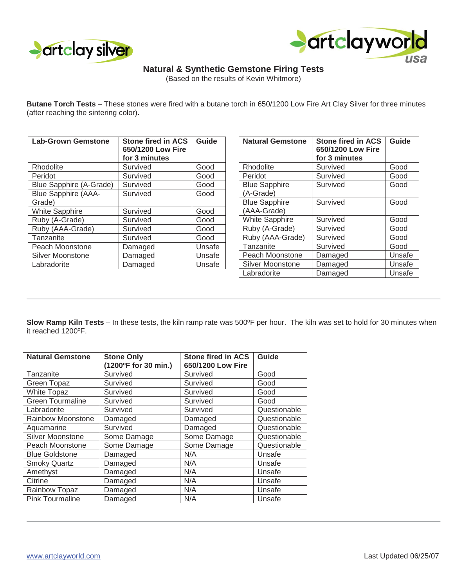



## **Natural & Synthetic Gemstone Firing Tests**

(Based on the results of Kevin Whitmore)

**Butane Torch Tests** – These stones were fired with a butane torch in 650/1200 Low Fire Art Clay Silver for three minutes (after reaching the sintering color).

| <b>Lab-Grown Gemstone</b>      | <b>Stone fired in ACS</b><br>650/1200 Low Fire<br>for 3 minutes | Guide  |
|--------------------------------|-----------------------------------------------------------------|--------|
| Rhodolite                      | Survived                                                        | Good   |
| Peridot                        | Survived                                                        | Good   |
| <b>Blue Sapphire (A-Grade)</b> | Survived                                                        | Good   |
| <b>Blue Sapphire (AAA-</b>     | Survived                                                        | Good   |
| Grade)                         |                                                                 |        |
| <b>White Sapphire</b>          | Survived                                                        | Good   |
| Ruby (A-Grade)                 | Survived                                                        | Good   |
| Ruby (AAA-Grade)               | Survived                                                        | Good   |
| Tanzanite                      | Survived                                                        | Good   |
| Peach Moonstone                | Damaged                                                         | Unsafe |
| Silver Moonstone               | Damaged                                                         | Unsafe |
| Labradorite                    | Damaged                                                         | Unsafe |

| <b>Natural Gemstone</b> | <b>Stone fired in ACS</b><br>650/1200 Low Fire<br>for 3 minutes | Guide  |
|-------------------------|-----------------------------------------------------------------|--------|
| Rhodolite               | Survived                                                        | Good   |
|                         |                                                                 |        |
| Peridot                 | Survived                                                        | Good   |
| <b>Blue Sapphire</b>    | Survived                                                        | Good   |
| (A-Grade)               |                                                                 |        |
| <b>Blue Sapphire</b>    | Survived                                                        | Good   |
| (AAA-Grade)             |                                                                 |        |
| <b>White Sapphire</b>   | Survived                                                        | Good   |
| Ruby (A-Grade)          | Survived                                                        | Good   |
| Ruby (AAA-Grade)        | Survived                                                        | Good   |
| Tanzanite               | Survived                                                        | Good   |
| Peach Moonstone         | Damaged                                                         | Unsafe |
| Silver Moonstone        | Damaged                                                         | Unsafe |
| Labradorite             | Damaged                                                         | Unsafe |

**Slow Ramp Kiln Tests** – In these tests, the kiln ramp rate was 500ºF per hour. The kiln was set to hold for 30 minutes when it reached 1200ºF.

| <b>Natural Gemstone</b> | <b>Stone Only</b>    | <b>Stone fired in ACS</b> | Guide        |
|-------------------------|----------------------|---------------------------|--------------|
|                         | (1200°F for 30 min.) | 650/1200 Low Fire         |              |
| Tanzanite               | Survived             | Survived                  | Good         |
| <b>Green Topaz</b>      | Survived             | Survived                  | Good         |
| <b>White Topaz</b>      | Survived             | Survived                  | Good         |
| <b>Green Tourmaline</b> | Survived             | Survived                  | Good         |
| Labradorite             | Survived             | Survived                  | Questionable |
| Rainbow Moonstone       | Damaged              | Damaged                   | Questionable |
| Aquamarine              | Survived             | Damaged                   | Questionable |
| Silver Moonstone        | Some Damage          | Some Damage               | Questionable |
| Peach Moonstone         | Some Damage          | Some Damage               | Questionable |
| <b>Blue Goldstone</b>   | Damaged              | N/A                       | Unsafe       |
| <b>Smoky Quartz</b>     | Damaged              | N/A                       | Unsafe       |
| Amethyst                | Damaged              | N/A                       | Unsafe       |
| Citrine                 | Damaged              | N/A                       | Unsafe       |
| Rainbow Topaz           | Damaged              | N/A                       | Unsafe       |
| <b>Pink Tourmaline</b>  | Damaged              | N/A                       | Unsafe       |